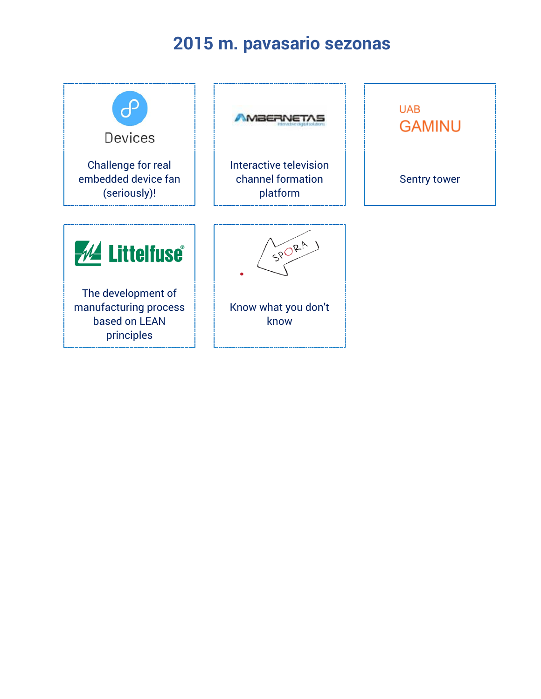# **2015 m. pavasario sezonas**

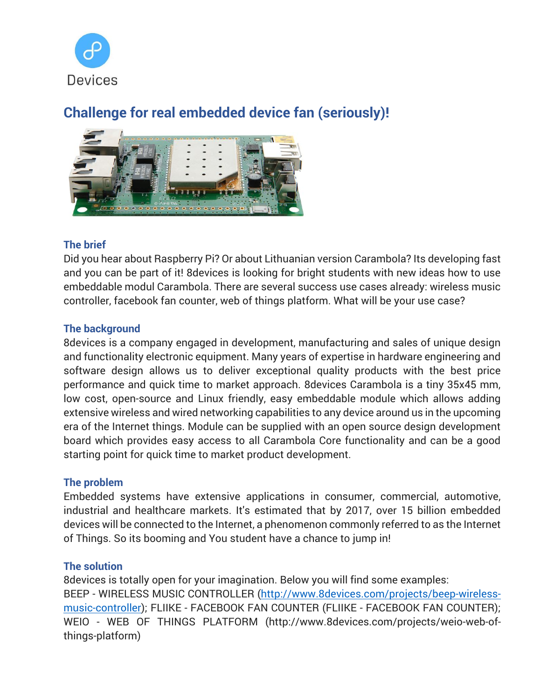

# **Challenge for real embedded device fan (seriously)!**



## **The brief**

Did you hear about Raspberry Pi? Or about Lithuanian version Carambola? Its developing fast and you can be part of it! 8devices is looking for bright students with new ideas how to use embeddable modul Carambola. There are several success use cases already: wireless music controller, facebook fan counter, web of things platform. What will be your use case?

# **The background**

8devices is a company engaged in development, manufacturing and sales of unique design and functionality electronic equipment. Many years of expertise in hardware engineering and software design allows us to deliver exceptional quality products with the best price performance and quick time to market approach. 8devices Carambola is a tiny 35x45 mm, low cost, open-source and Linux friendly, easy embeddable module which allows adding extensive wireless and wired networking capabilities to any device around us in the upcoming era of the Internet things. Module can be supplied with an open source design development board which provides easy access to all Carambola Core functionality and can be a good starting point for quick time to market product development.

## **The problem**

Embedded systems have extensive applications in consumer, commercial, automotive, industrial and healthcare markets. It's estimated that by 2017, over 15 billion embedded devices will be connected to the Internet, a phenomenon commonly referred to as the Internet of Things. So its booming and You student have a chance to jump in!

## **The solution**

8devices is totally open for your imagination. Below you will find some examples: BEEP - WIRELESS MUSIC CONTROLLER [\(http://www.8devices.com/projects/beep-wireless](http://www.8devices.com/projects/beep-wireless-music-controller)[music-controller\)](http://www.8devices.com/projects/beep-wireless-music-controller); FLIIKE - FACEBOOK FAN COUNTER (FLIIKE - FACEBOOK FAN COUNTER); WEIO - WEB OF THINGS PLATFORM (http://www.8devices.com/projects/weio-web-ofthings-platform)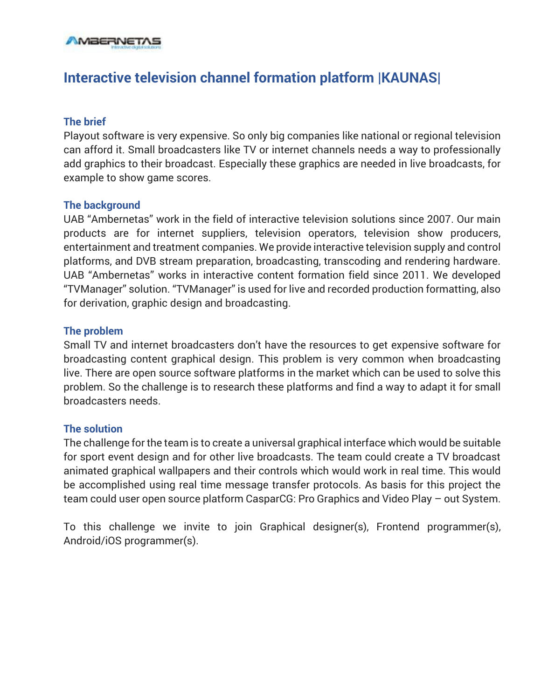

# **Interactive television channel formation platform |KAUNAS|**

### **The brief**

Playout software is very expensive. So only big companies like national or regional television can afford it. Small broadcasters like TV or internet channels needs a way to professionally add graphics to their broadcast. Especially these graphics are needed in live broadcasts, for example to show game scores.

### **The background**

UAB "Ambernetas" work in the field of interactive television solutions since 2007. Our main products are for internet suppliers, television operators, television show producers, entertainment and treatment companies. We provide interactive television supply and control platforms, and DVB stream preparation, broadcasting, transcoding and rendering hardware. UAB "Ambernetas" works in interactive content formation field since 2011. We developed "TVManager" solution. "TVManager" is used for live and recorded production formatting, also for derivation, graphic design and broadcasting.

### **The problem**

Small TV and internet broadcasters don't have the resources to get expensive software for broadcasting content graphical design. This problem is very common when broadcasting live. There are open source software platforms in the market which can be used to solve this problem. So the challenge is to research these platforms and find a way to adapt it for small broadcasters needs.

### **The solution**

The challenge for the team is to create a universal graphical interface which would be suitable for sport event design and for other live broadcasts. The team could create a TV broadcast animated graphical wallpapers and their controls which would work in real time. This would be accomplished using real time message transfer protocols. As basis for this project the team could user open source platform CasparCG: Pro Graphics and Video Play – out System.

To this challenge we invite to join Graphical designer(s), Frontend programmer(s), Android/iOS programmer(s).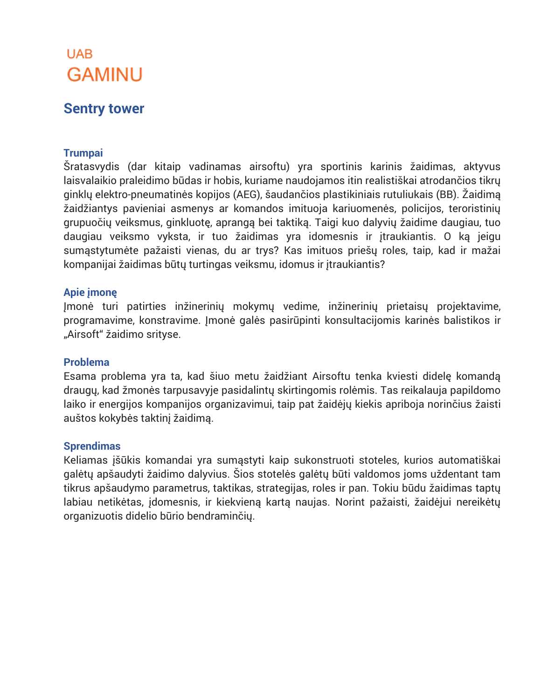# **UAB GAMINU**

# **Sentry tower**

## **Trumpai**

Šratasvydis (dar kitaip vadinamas airsoftu) yra sportinis karinis žaidimas, aktyvus laisvalaikio praleidimo būdas ir hobis, kuriame naudojamos itin realistiškai atrodančios tikrų ginklų elektro-pneumatinės kopijos (AEG), šaudančios plastikiniais rutuliukais (BB). Žaidimą žaidžiantys pavieniai asmenys ar komandos imituoja kariuomenės, policijos, teroristinių grupuočių veiksmus, ginkluotę, aprangą bei taktiką. Taigi kuo dalyvių žaidime daugiau, tuo daugiau veiksmo vyksta, ir tuo žaidimas yra idomesnis ir įtraukiantis. O ką jeigu sumąstytumėte pažaisti vienas, du ar trys? Kas imituos priešų roles, taip, kad ir mažai kompanijai žaidimas būtų turtingas veiksmu, idomus ir įtraukiantis?

### **Apie įmonę**

Įmonė turi patirties inžinerinių mokymų vedime, inžinerinių prietaisų projektavime, programavime, konstravime. Įmonė galės pasirūpinti konsultacijomis karinės balistikos ir "Airsoft" žaidimo srityse.

### **Problema**

Esama problema yra ta, kad šiuo metu žaidžiant Airsoftu tenka kviesti didelę komandą draugų, kad žmonės tarpusavyje pasidalintų skirtingomis rolėmis. Tas reikalauja papildomo laiko ir energijos kompanijos organizavimui, taip pat žaidėjų kiekis apriboja norinčius žaisti auštos kokybės taktinį žaidimą.

### **Sprendimas**

Keliamas įšūkis komandai yra sumąstyti kaip sukonstruoti stoteles, kurios automatiškai galėtų apšaudyti žaidimo dalyvius. Šios stotelės galėtų būti valdomos joms uždentant tam tikrus apšaudymo parametrus, taktikas, strategijas, roles ir pan. Tokiu būdu žaidimas taptų labiau netikėtas, įdomesnis, ir kiekvieną kartą naujas. Norint pažaisti, žaidėjui nereikėtų organizuotis didelio būrio bendraminčių.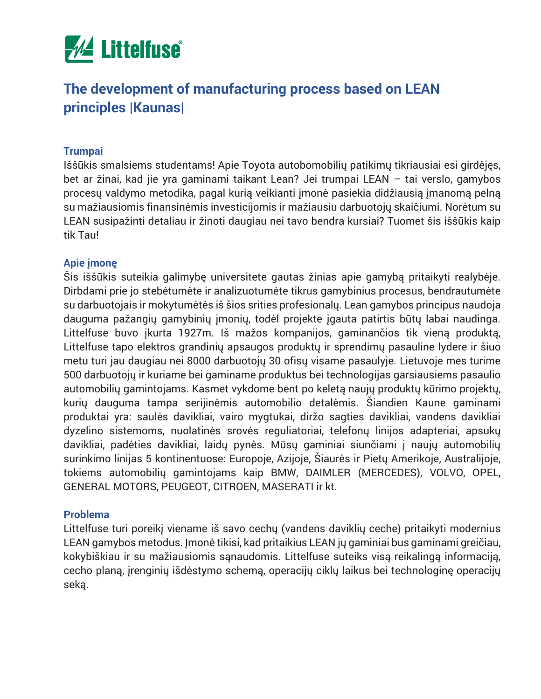

# **The development of manufacturing process based on LEAN principles |Kaunas|**

### **Trumpai**

Iššūkis smalsiems studentams! Apie Toyota autobomobilių patikimų tikriausiai esi girdėjęs, bet ar žinai, kad jie yra gaminami taikant Lean? Jei trumpai LEAN – tai verslo, gamybos procesų valdymo metodika, pagal kurią veikianti įmonė pasiekia didžiausią įmanomą pelną su mažiausiomis finansinėmis investicijomis ir mažiausiu darbuotojų skaičiumi. Norėtum su LEAN susipažinti detaliau ir žinoti daugiau nei tavo bendra kursiai? Tuomet šis iššūkis kaip tik Tau!

### **Apie įmonę**

Šis iššūkis suteikia galimybę universitete gautas žinias apie gamybą pritaikyti realybėje. Dirbdami prie jo stebėtumėte ir analizuotumėte tikrus gamybinius procesus, bendrautumėte su darbuotojais ir mokytumėtės iš šios srities profesionalų. Lean gamybos principus naudoja dauguma pažangių gamybinių įmonių, todėl projekte įgauta patirtis būtų labai naudinga. Littelfuse buvo įkurta 1927m. Iš mažos kompanijos, gaminančios tik vieną produktą, Littelfuse tapo elektros grandinių apsaugos produktų ir sprendimų pasauline lydere ir šiuo metu turi jau daugiau nei 8000 darbuotojų 30 ofisų visame pasaulyje. Lietuvoje mes turime 500 darbuotojų ir kuriame bei gaminame produktus bei technologijas garsiausiems pasaulio automobilių gamintojams. Kasmet vykdome bent po keletą naujų produktų kūrimo projektų, kurių dauguma tampa serijinėmis automobilio detalėmis. Šiandien Kaune gaminami produktai yra: saulės davikliai, vairo mygtukai, diržo sagties davikliai, vandens davikliai dyzelino sistemoms, nuolatinės srovės reguliatoriai, telefonų linijos adapteriai, apsukų davikliai, padėties davikliai, laidų pynės. Mūsų gaminiai siunčiami į naujų automobilių surinkimo linijas 5 kontinentuose: Europoje, Azijoje, Šiaurės ir Pietų Amerikoje, Australijoje, tokiems automobilių gamintojams kaip BMW, DAIMLER (MERCEDES), VOLVO, OPEL, GENERAL MOTORS, PEUGEOT, CITROEN, MASERATI ir kt.

### **Problema**

Littelfuse turi poreikį viename iš savo cechų (vandens daviklių ceche) pritaikyti modernius LEAN gamybos metodus. Įmonė tikisi, kad pritaikius LEAN jų gaminiai bus gaminami greičiau, kokybiškiau ir su mažiausiomis sąnaudomis. Littelfuse suteiks visą reikalingą informaciją, cecho planą, įrenginių išdėstymo schemą, operacijų ciklų laikus bei technologinę operacijų seką.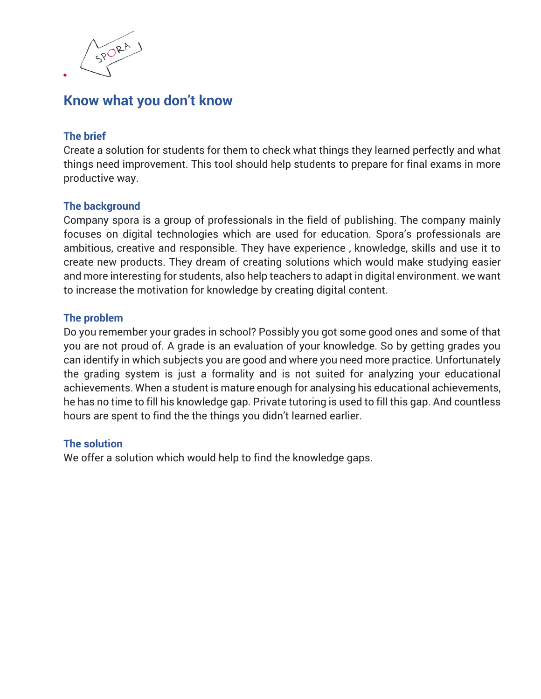

# **Know what you don't know**

## **The brief**

Create a solution for students for them to check what things they learned perfectly and what things need improvement. This tool should help students to prepare for final exams in more productive way.

## **The background**

Company spora is a group of professionals in the field of publishing. The company mainly focuses on digital technologies which are used for education. Spora's professionals are ambitious, creative and responsible. They have experience , knowledge, skills and use it to create new products. They dream of creating solutions which would make studying easier and more interesting for students, also help teachers to adapt in digital environment. we want to increase the motivation for knowledge by creating digital content.

## **The problem**

Do you remember your grades in school? Possibly you got some good ones and some of that you are not proud of. A grade is an evaluation of your knowledge. So by getting grades you can identify in which subjects you are good and where you need more practice. Unfortunately the grading system is just a formality and is not suited for analyzing your educational achievements. When a student is mature enough for analysing his educational achievements, he has no time to fill his knowledge gap. Private tutoring is used to fill this gap. And countless hours are spent to find the the things you didn't learned earlier.

## **The solution**

We offer a solution which would help to find the knowledge gaps.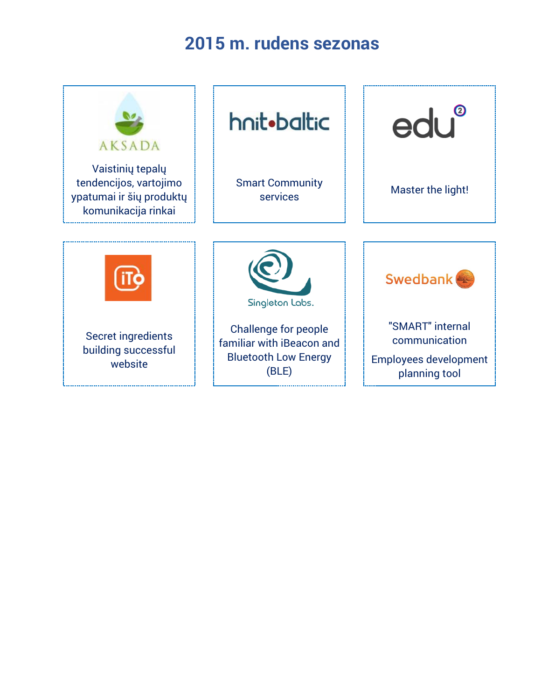# **2015 m. rudens sezonas**

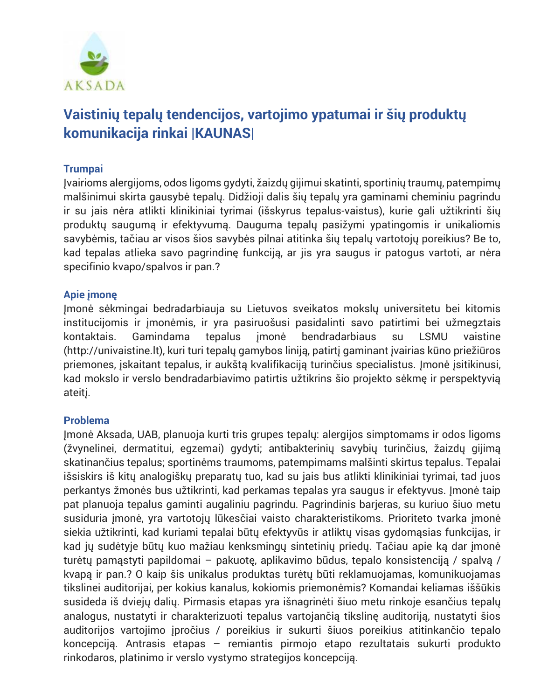

# **Vaistinių tepalų tendencijos, vartojimo ypatumai ir šių produktų komunikacija rinkai |KAUNAS|**

# **Trumpai**

Įvairioms alergijoms, odos ligoms gydyti, žaizdų gijimui skatinti, sportinių traumų, patempimų malšinimui skirta gausybė tepalų. Didžioji dalis šių tepalų yra gaminami cheminiu pagrindu ir su jais nėra atlikti klinikiniai tyrimai (išskyrus tepalus-vaistus), kurie gali užtikrinti šių produktų saugumą ir efektyvumą. Dauguma tepalų pasižymi ypatingomis ir unikaliomis savybėmis, tačiau ar visos šios savybės pilnai atitinka šių tepalų vartotojų poreikius? Be to, kad tepalas atlieka savo pagrindinę funkciją, ar jis yra saugus ir patogus vartoti, ar nėra specifinio kvapo/spalvos ir pan.?

## **Apie įmonę**

Įmonė sėkmingai bedradarbiauja su Lietuvos sveikatos mokslų universitetu bei kitomis institucijomis ir įmonėmis, ir yra pasiruošusi pasidalinti savo patirtimi bei užmegztais kontaktais. Gamindama tepalus įmonė bendradarbiaus su LSMU vaistine (http://univaistine.lt), kuri turi tepalų gamybos liniją, patirtį gaminant įvairias kūno priežiūros priemones, įskaitant tepalus, ir aukštą kvalifikaciją turinčius specialistus. Įmonė įsitikinusi, kad mokslo ir verslo bendradarbiavimo patirtis užtikrins šio projekto sėkmę ir perspektyvią ateitį.

## **Problema**

Įmonė Aksada, UAB, planuoja kurti tris grupes tepalų: alergijos simptomams ir odos ligoms (žvynelinei, dermatitui, egzemai) gydyti; antibakterinių savybių turinčius, žaizdų gijimą skatinančius tepalus; sportinėms traumoms, patempimams malšinti skirtus tepalus. Tepalai išsiskirs iš kitų analogiškų preparatų tuo, kad su jais bus atlikti klinikiniai tyrimai, tad juos perkantys žmonės bus užtikrinti, kad perkamas tepalas yra saugus ir efektyvus. Įmonė taip pat planuoja tepalus gaminti augaliniu pagrindu. Pagrindinis barjeras, su kuriuo šiuo metu susiduria įmonė, yra vartotojų lūkesčiai vaisto charakteristikoms. Prioriteto tvarka įmonė siekia užtikrinti, kad kuriami tepalai būtų efektyvūs ir atliktų visas gydomąsias funkcijas, ir kad jų sudėtyje būtų kuo mažiau kenksmingų sintetinių priedų. Tačiau apie ką dar įmonė turėtų pamąstyti papildomai – pakuotę, aplikavimo būdus, tepalo konsistenciją / spalvą / kvapą ir pan.? O kaip šis unikalus produktas turėtų būti reklamuojamas, komunikuojamas tikslinei auditorijai, per kokius kanalus, kokiomis priemonėmis? Komandai keliamas iššūkis susideda iš dviejų dalių. Pirmasis etapas yra išnagrinėti šiuo metu rinkoje esančius tepalų analogus, nustatyti ir charakterizuoti tepalus vartojančią tikslinę auditoriją, nustatyti šios auditorijos vartojimo įpročius / poreikius ir sukurti šiuos poreikius atitinkančio tepalo koncepciją. Antrasis etapas – remiantis pirmojo etapo rezultatais sukurti produkto rinkodaros, platinimo ir verslo vystymo strategijos koncepciją.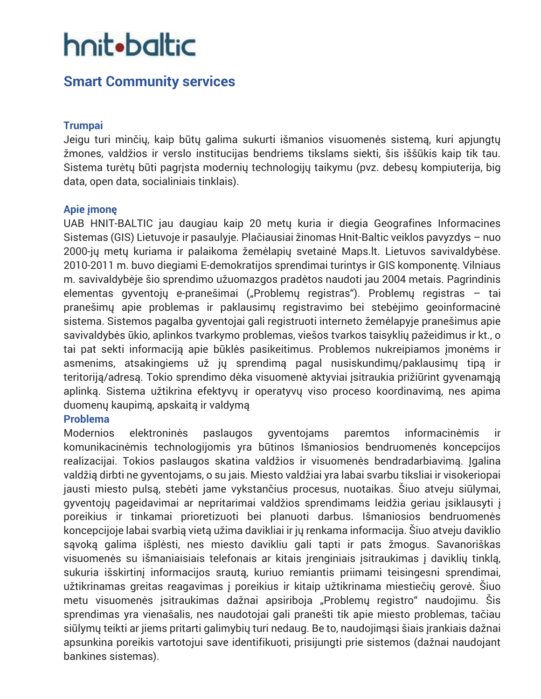# hnit•baltic

# **Smart Community services**

## **Trumpai**

Jeigu turi minčių, kaip būtų galima sukurti išmanios visuomenės sistemą, kuri apjungtų žmones, valdžios ir verslo institucijas bendriems tikslams siekti, šis iššūkis kaip tik tau. Sistema turėtų būti pagrįsta modernių technologijų taikymu (pvz. debesų kompiuterija, big data, open data, socialiniais tinklais).

## **Apie įmonę**

UAB HNIT-BALTIC jau daugiau kaip 20 metų kuria ir diegia Geografines Informacines Sistemas (GIS) Lietuvoje ir pasaulyje. Plačiausiai žinomas Hnit-Baltic veiklos pavyzdys – nuo 2000-jų metų kuriama ir palaikoma žemėlapių svetainė Maps.lt. Lietuvos savivaldybėse. 2010-2011 m. buvo diegiami E-demokratijos sprendimai turintys ir GIS komponentę. Vilniaus m. savivaldybėje šio sprendimo užuomazgos pradėtos naudoti jau 2004 metais. Pagrindinis elementas gyventojų e-pranešimai ("Problemų registras"). Problemų registras – tai pranešimų apie problemas ir paklausimų registravimo bei stebėjimo geoinformacinė sistema. Sistemos pagalba gyventojai gali registruoti interneto žemėlapyje pranešimus apie savivaldybės ūkio, aplinkos tvarkymo problemas, viešos tvarkos taisyklių pažeidimus ir kt., o tai pat sekti informaciją apie būklės pasikeitimus. Problemos nukreipiamos įmonėms ir asmenims, atsakingiems už jų sprendimą pagal nusiskundimų/paklausimų tipą ir teritoriją/adresą. Tokio sprendimo dėka visuomenė aktyviai įsitraukia prižiūrint gyvenamąją aplinką. Sistema užtikrina efektyvų ir operatyvų viso proceso koordinavimą, nes apima duomenų kaupimą, apskaitą ir valdymą

## **Problema**

Modernios elektroninės paslaugos gyventojams paremtos informacinėmis ir komunikacinėmis technologijomis yra būtinos Išmaniosios bendruomenės koncepcijos realizacijai. Tokios paslaugos skatina valdžios ir visuomenės bendradarbiavimą. Įgalina valdžią dirbti ne gyventojams, o su jais. Miesto valdžiai yra labai svarbu tiksliai ir visokeriopai jausti miesto pulsą, stebėti jame vykstančius procesus, nuotaikas. Šiuo atveju siūlymai, gyventojų pageidavimai ar nepritarimai valdžios sprendimams leidžia geriau įsiklausyti į poreikius ir tinkamai prioretizuoti bei planuoti darbus. Išmaniosios bendruomenės koncepcijoje labai svarbią vietą užima davikliai ir jų renkama informacija. Šiuo atveju daviklio sąvoką galima išplėsti, nes miesto davikliu gali tapti ir pats žmogus. Savanoriškas visuomenės su išmaniaisiais telefonais ar kitais įrenginiais įsitraukimas į daviklių tinklą, sukuria išskirtinį informacijos srautą, kuriuo remiantis priimami teisingesni sprendimai, užtikrinamas greitas reagavimas į poreikius ir kitaip užtikrinama miestiečių gerovė. Šiuo metu visuomenės įsitraukimas dažnai apsiriboja "Problemų registro" naudojimu. Šis sprendimas yra vienašalis, nes naudotojai gali pranešti tik apie miesto problemas, tačiau siūlymų teikti ar jiems pritarti galimybių turi nedaug. Be to, naudojimąsi šiais įrankiais dažnai apsunkina poreikis vartotojui save identifikuoti, prisijungti prie sistemos (dažnai naudojant bankines sistemas).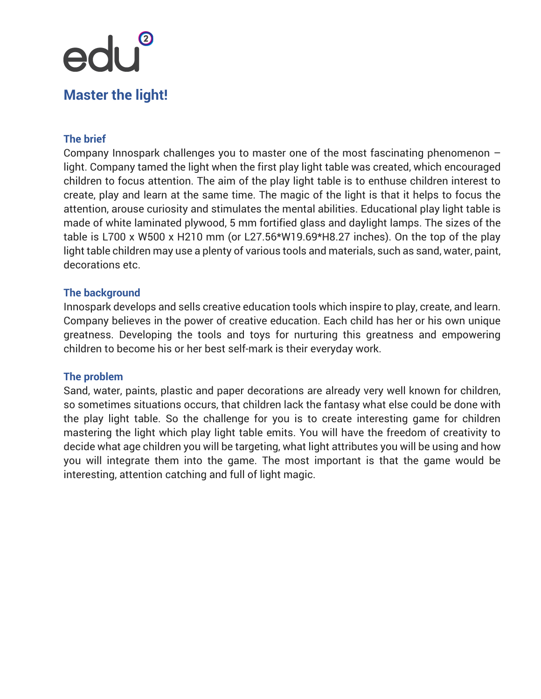# edu® **Master the light!**

# **The brief**

Company Innospark challenges you to master one of the most fascinating phenomenon – light. Company tamed the light when the first play light table was created, which encouraged children to focus attention. The aim of the play light table is to enthuse children interest to create, play and learn at the same time. The magic of the light is that it helps to focus the attention, arouse curiosity and stimulates the mental abilities. Educational play light table is made of white laminated plywood, 5 mm fortified glass and daylight lamps. The sizes of the table is L700 x W500 x H210 mm (or L27.56\*W19.69\*H8.27 inches). On the top of the play light table children may use a plenty of various tools and materials, such as sand, water, paint, decorations etc.

### **The background**

Innospark develops and sells creative education tools which inspire to play, create, and learn. Company believes in the power of creative education. Each child has her or his own unique greatness. Developing the tools and toys for nurturing this greatness and empowering children to become his or her best self-mark is their everyday work.

### **The problem**

Sand, water, paints, plastic and paper decorations are already very well known for children, so sometimes situations occurs, that children lack the fantasy what else could be done with the play light table. So the challenge for you is to create interesting game for children mastering the light which play light table emits. You will have the freedom of creativity to decide what age children you will be targeting, what light attributes you will be using and how you will integrate them into the game. The most important is that the game would be interesting, attention catching and full of light magic.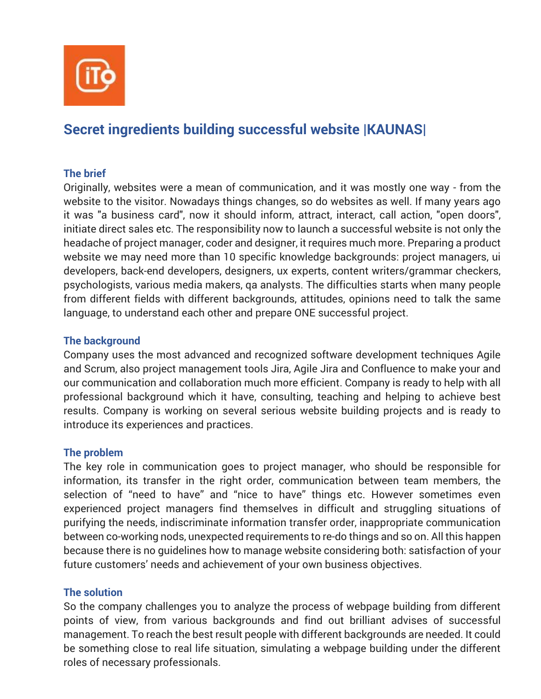

# **Secret ingredients building successful website |KAUNAS|**

# **The brief**

Originally, websites were a mean of communication, and it was mostly one way - from the website to the visitor. Nowadays things changes, so do websites as well. If many years ago it was "a business card", now it should inform, attract, interact, call action, "open doors", initiate direct sales etc. The responsibility now to launch a successful website is not only the headache of project manager, coder and designer, it requires much more. Preparing a product website we may need more than 10 specific knowledge backgrounds: project managers, ui developers, back-end developers, designers, ux experts, content writers/grammar checkers, psychologists, various media makers, qa analysts. The difficulties starts when many people from different fields with different backgrounds, attitudes, opinions need to talk the same language, to understand each other and prepare ONE successful project.

## **The background**

Company uses the most advanced and recognized software development techniques Agile and Scrum, also project management tools Jira, Agile Jira and Confluence to make your and our communication and collaboration much more efficient. Company is ready to help with all professional background which it have, consulting, teaching and helping to achieve best results. Company is working on several serious website building projects and is ready to introduce its experiences and practices.

## **The problem**

The key role in communication goes to project manager, who should be responsible for information, its transfer in the right order, communication between team members, the selection of "need to have" and "nice to have" things etc. However sometimes even experienced project managers find themselves in difficult and struggling situations of purifying the needs, indiscriminate information transfer order, inappropriate communication between co-working nods, unexpected requirements to re-do things and so on. All this happen because there is no guidelines how to manage website considering both: satisfaction of your future customers' needs and achievement of your own business objectives.

## **The solution**

So the company challenges you to analyze the process of webpage building from different points of view, from various backgrounds and find out brilliant advises of successful management. To reach the best result people with different backgrounds are needed. It could be something close to real life situation, simulating a webpage building under the different roles of necessary professionals.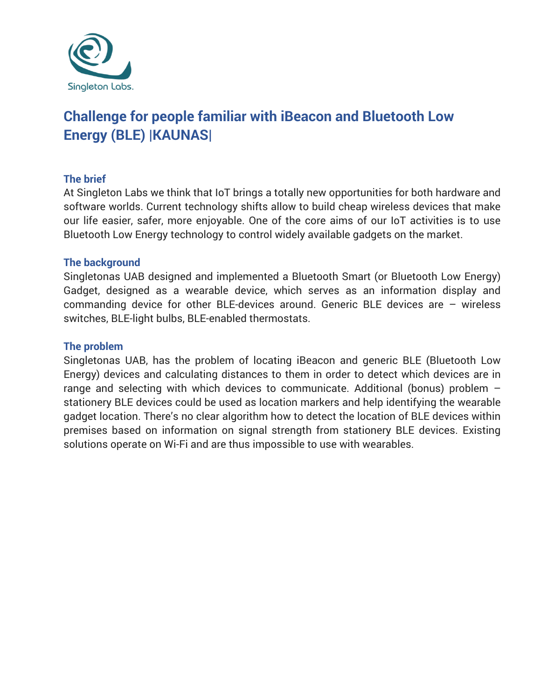

# **Challenge for people familiar with iBeacon and Bluetooth Low Energy (BLE) |KAUNAS|**

## **The brief**

At Singleton Labs we think that IoT brings a totally new opportunities for both hardware and software worlds. Current technology shifts allow to build cheap wireless devices that make our life easier, safer, more enjoyable. One of the core aims of our IoT activities is to use Bluetooth Low Energy technology to control widely available gadgets on the market.

### **The background**

Singletonas UAB designed and implemented a Bluetooth Smart (or Bluetooth Low Energy) Gadget, designed as a wearable device, which serves as an information display and commanding device for other BLE-devices around. Generic BLE devices are – wireless switches, BLE-light bulbs, BLE-enabled thermostats.

### **The problem**

Singletonas UAB, has the problem of locating iBeacon and generic BLE (Bluetooth Low Energy) devices and calculating distances to them in order to detect which devices are in range and selecting with which devices to communicate. Additional (bonus) problem – stationery BLE devices could be used as location markers and help identifying the wearable gadget location. There's no clear algorithm how to detect the location of BLE devices within premises based on information on signal strength from stationery BLE devices. Existing solutions operate on Wi-Fi and are thus impossible to use with wearables.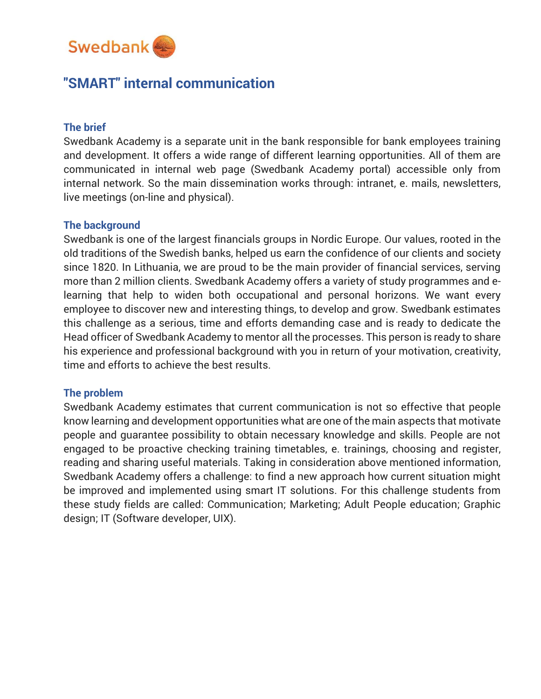

# **"SMART" internal communication**

### **The brief**

Swedbank Academy is a separate unit in the bank responsible for bank employees training and development. It offers a wide range of different learning opportunities. All of them are communicated in internal web page (Swedbank Academy portal) accessible only from internal network. So the main dissemination works through: intranet, e. mails, newsletters, live meetings (on-line and physical).

### **The background**

Swedbank is one of the largest financials groups in Nordic Europe. Our values, rooted in the old traditions of the Swedish banks, helped us earn the confidence of our clients and society since 1820. In Lithuania, we are proud to be the main provider of financial services, serving more than 2 million clients. Swedbank Academy offers a variety of study programmes and elearning that help to widen both occupational and personal horizons. We want every employee to discover new and interesting things, to develop and grow. Swedbank estimates this challenge as a serious, time and efforts demanding case and is ready to dedicate the Head officer of Swedbank Academy to mentor all the processes. This person is ready to share his experience and professional background with you in return of your motivation, creativity, time and efforts to achieve the best results.

### **The problem**

Swedbank Academy estimates that current communication is not so effective that people know learning and development opportunities what are one of the main aspects that motivate people and guarantee possibility to obtain necessary knowledge and skills. People are not engaged to be proactive checking training timetables, e. trainings, choosing and register, reading and sharing useful materials. Taking in consideration above mentioned information, Swedbank Academy offers a challenge: to find a new approach how current situation might be improved and implemented using smart IT solutions. For this challenge students from these study fields are called: Communication; Marketing; Adult People education; Graphic design; IT (Software developer, UIX).